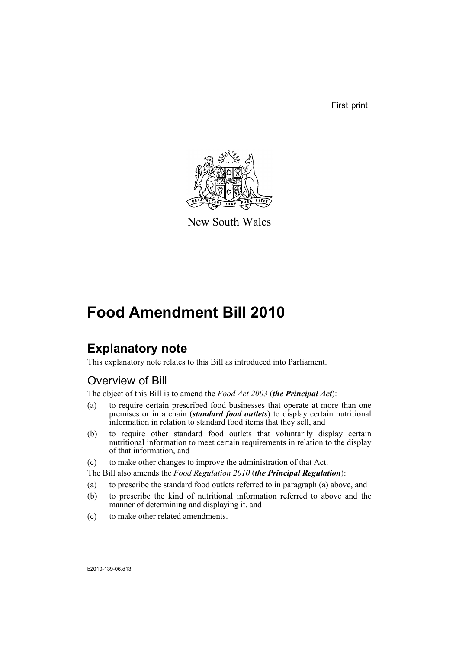First print



New South Wales

# **Food Amendment Bill 2010**

# **Explanatory note**

This explanatory note relates to this Bill as introduced into Parliament.

# Overview of Bill

The object of this Bill is to amend the *Food Act 2003* (*the Principal Act*):

- (a) to require certain prescribed food businesses that operate at more than one premises or in a chain (*standard food outlets*) to display certain nutritional information in relation to standard food items that they sell, and
- (b) to require other standard food outlets that voluntarily display certain nutritional information to meet certain requirements in relation to the display of that information, and
- (c) to make other changes to improve the administration of that Act.

The Bill also amends the *Food Regulation 2010* (*the Principal Regulation*):

- (a) to prescribe the standard food outlets referred to in paragraph (a) above, and
- (b) to prescribe the kind of nutritional information referred to above and the manner of determining and displaying it, and
- (c) to make other related amendments.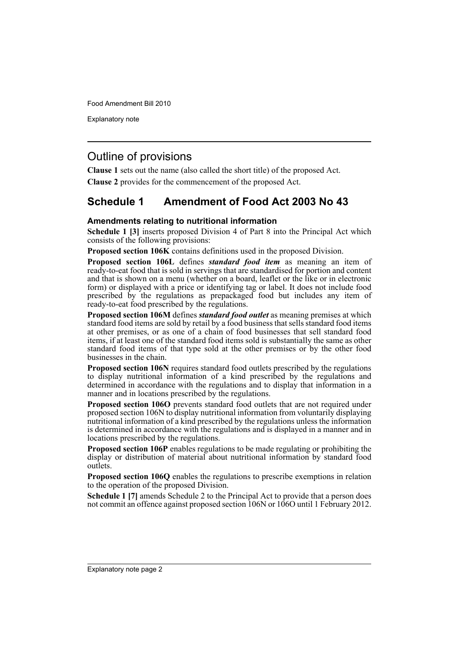Explanatory note

# Outline of provisions

**Clause 1** sets out the name (also called the short title) of the proposed Act.

**Clause 2** provides for the commencement of the proposed Act.

# **Schedule 1 Amendment of Food Act 2003 No 43**

### **Amendments relating to nutritional information**

**Schedule 1 [3]** inserts proposed Division 4 of Part 8 into the Principal Act which consists of the following provisions:

**Proposed section 106K** contains definitions used in the proposed Division.

**Proposed section 106L** defines *standard food item* as meaning an item of ready-to-eat food that is sold in servings that are standardised for portion and content and that is shown on a menu (whether on a board, leaflet or the like or in electronic form) or displayed with a price or identifying tag or label. It does not include food prescribed by the regulations as prepackaged food but includes any item of ready-to-eat food prescribed by the regulations.

**Proposed section 106M** defines *standard food outlet* as meaning premises at which standard food items are sold by retail by a food business that sells standard food items at other premises, or as one of a chain of food businesses that sell standard food items, if at least one of the standard food items sold is substantially the same as other standard food items of that type sold at the other premises or by the other food businesses in the chain.

**Proposed section 106N** requires standard food outlets prescribed by the regulations to display nutritional information of a kind prescribed by the regulations and determined in accordance with the regulations and to display that information in a manner and in locations prescribed by the regulations.

**Proposed section 106O** prevents standard food outlets that are not required under proposed section 106N to display nutritional information from voluntarily displaying nutritional information of a kind prescribed by the regulations unless the information is determined in accordance with the regulations and is displayed in a manner and in locations prescribed by the regulations.

**Proposed section 106P** enables regulations to be made regulating or prohibiting the display or distribution of material about nutritional information by standard food outlets.

**Proposed section 106Q** enables the regulations to prescribe exemptions in relation to the operation of the proposed Division.

**Schedule 1 [7]** amends Schedule 2 to the Principal Act to provide that a person does not commit an offence against proposed section 106N or 106O until 1 February 2012.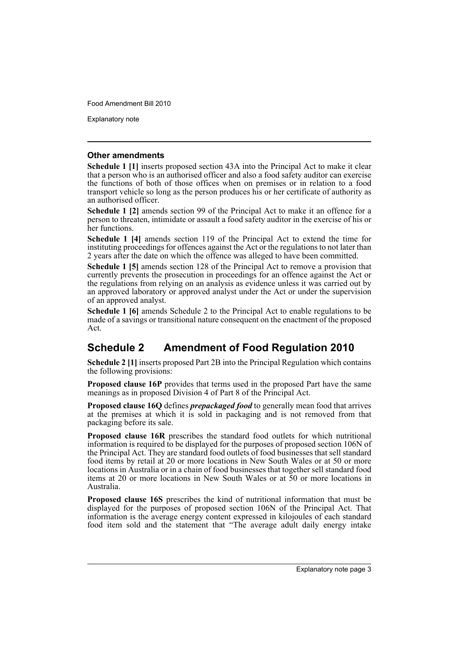Explanatory note

#### **Other amendments**

**Schedule 1 [1]** inserts proposed section 43A into the Principal Act to make it clear that a person who is an authorised officer and also a food safety auditor can exercise the functions of both of those offices when on premises or in relation to a food transport vehicle so long as the person produces his or her certificate of authority as an authorised officer.

**Schedule 1 [2]** amends section 99 of the Principal Act to make it an offence for a person to threaten, intimidate or assault a food safety auditor in the exercise of his or her functions.

**Schedule 1 [4]** amends section 119 of the Principal Act to extend the time for instituting proceedings for offences against the Act or the regulations to not later than 2 years after the date on which the offence was alleged to have been committed.

**Schedule 1 [5]** amends section 128 of the Principal Act to remove a provision that currently prevents the prosecution in proceedings for an offence against the Act or the regulations from relying on an analysis as evidence unless it was carried out by an approved laboratory or approved analyst under the Act or under the supervision of an approved analyst.

**Schedule 1 [6]** amends Schedule 2 to the Principal Act to enable regulations to be made of a savings or transitional nature consequent on the enactment of the proposed Act.

# **Schedule 2 Amendment of Food Regulation 2010**

**Schedule 2 [1]** inserts proposed Part 2B into the Principal Regulation which contains the following provisions:

**Proposed clause 16P** provides that terms used in the proposed Part have the same meanings as in proposed Division 4 of Part 8 of the Principal Act.

**Proposed clause 16Q** defines *prepackaged food* to generally mean food that arrives at the premises at which it is sold in packaging and is not removed from that packaging before its sale.

**Proposed clause 16R** prescribes the standard food outlets for which nutritional information is required to be displayed for the purposes of proposed section 106N of the Principal Act. They are standard food outlets of food businesses that sell standard food items by retail at 20 or more locations in New South Wales or at 50 or more locations in Australia or in a chain of food businesses that together sell standard food items at 20 or more locations in New South Wales or at 50 or more locations in Australia.

**Proposed clause 16S** prescribes the kind of nutritional information that must be displayed for the purposes of proposed section 106N of the Principal Act. That information is the average energy content expressed in kilojoules of each standard food item sold and the statement that "The average adult daily energy intake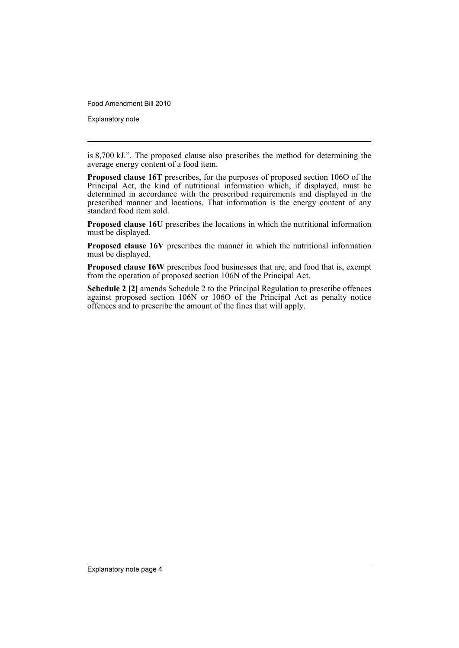Explanatory note

is 8,700 kJ.". The proposed clause also prescribes the method for determining the average energy content of a food item.

**Proposed clause 16T** prescribes, for the purposes of proposed section 106O of the Principal Act, the kind of nutritional information which, if displayed, must be determined in accordance with the prescribed requirements and displayed in the prescribed manner and locations. That information is the energy content of any standard food item sold.

**Proposed clause 16U** prescribes the locations in which the nutritional information must be displayed.

**Proposed clause 16V** prescribes the manner in which the nutritional information must be displayed.

**Proposed clause 16W** prescribes food businesses that are, and food that is, exempt from the operation of proposed section 106N of the Principal Act.

**Schedule 2 [2]** amends Schedule 2 to the Principal Regulation to prescribe offences against proposed section 106N or 106O of the Principal Act as penalty notice offences and to prescribe the amount of the fines that will apply.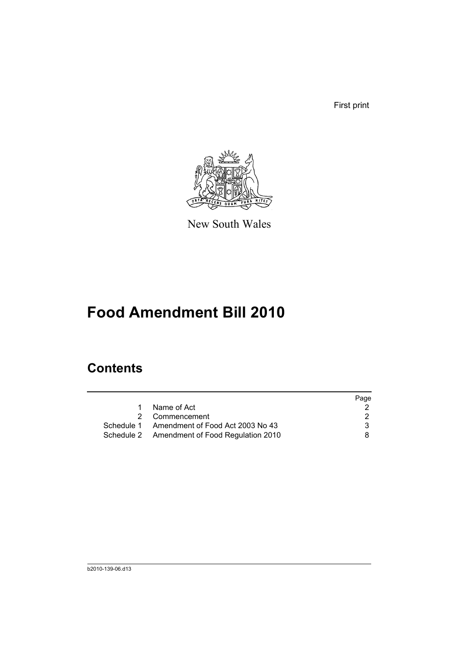First print



New South Wales

# **Food Amendment Bill 2010**

# **Contents**

|   |                                              | Page |
|---|----------------------------------------------|------|
| 1 | Name of Act                                  |      |
|   | 2 Commencement                               |      |
|   | Schedule 1 Amendment of Food Act 2003 No 43  | 3    |
|   | Schedule 2 Amendment of Food Regulation 2010 | 8.   |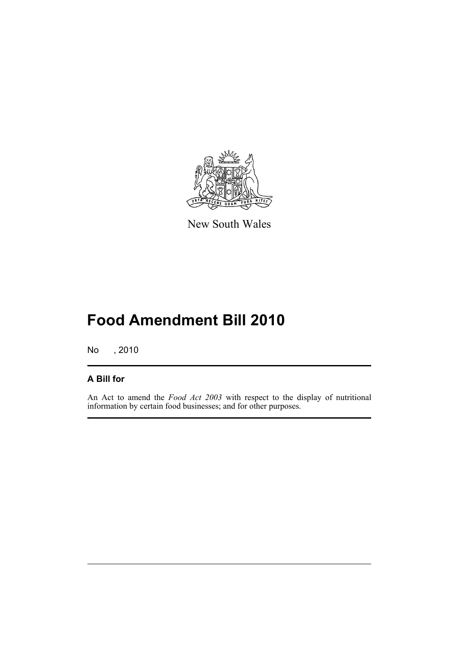

New South Wales

# **Food Amendment Bill 2010**

No , 2010

### **A Bill for**

An Act to amend the *Food Act 2003* with respect to the display of nutritional information by certain food businesses; and for other purposes.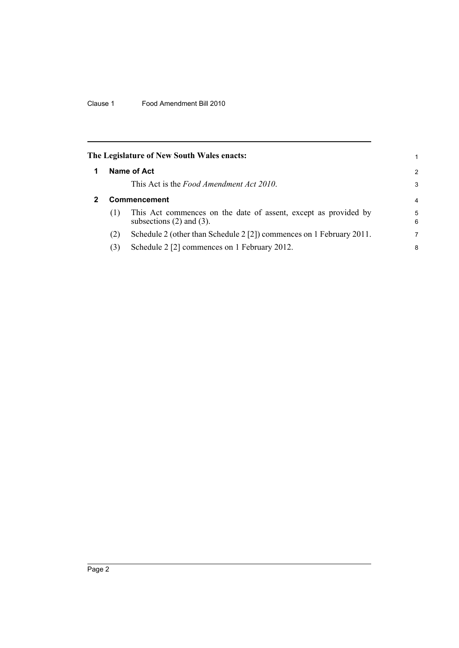<span id="page-7-1"></span><span id="page-7-0"></span>

|              | The Legislature of New South Wales enacts:                                                       | 1      |  |
|--------------|--------------------------------------------------------------------------------------------------|--------|--|
|              | Name of Act                                                                                      | 2      |  |
|              | This Act is the <i>Food Amendment Act 2010</i> .                                                 | 3      |  |
| Commencement |                                                                                                  |        |  |
| (1)          | This Act commences on the date of assent, except as provided by<br>subsections $(2)$ and $(3)$ . | 5<br>6 |  |
| (2)          | Schedule 2 (other than Schedule 2 [2]) commences on 1 February 2011.                             | 7      |  |
| (3)          | Schedule 2 [2] commences on 1 February 2012.                                                     | 8      |  |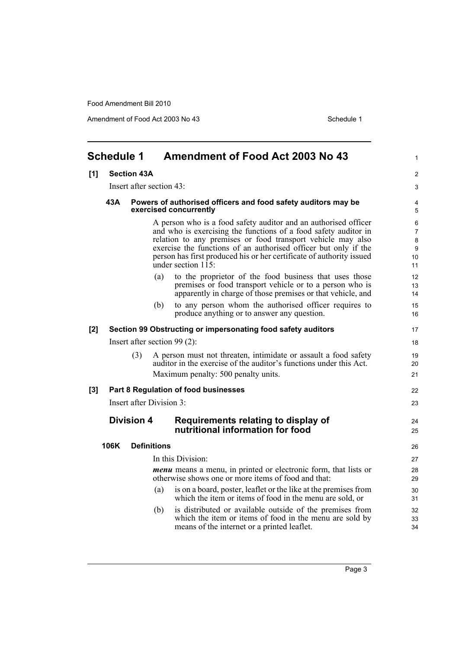Amendment of Food Act 2003 No 43 Schedule 1

<span id="page-8-0"></span>

| <b>Schedule 1</b><br><b>Amendment of Food Act 2003 No 43</b> |                          |                          | 1                  |                                                                                                                                                                                                                                                                                                                                                                       |                              |
|--------------------------------------------------------------|--------------------------|--------------------------|--------------------|-----------------------------------------------------------------------------------------------------------------------------------------------------------------------------------------------------------------------------------------------------------------------------------------------------------------------------------------------------------------------|------------------------------|
| [1]                                                          | <b>Section 43A</b>       |                          |                    |                                                                                                                                                                                                                                                                                                                                                                       | 2                            |
|                                                              | Insert after section 43: |                          |                    |                                                                                                                                                                                                                                                                                                                                                                       | 3                            |
|                                                              | 43A                      |                          |                    | Powers of authorised officers and food safety auditors may be<br>exercised concurrently                                                                                                                                                                                                                                                                               | 4<br>5                       |
|                                                              |                          |                          |                    | A person who is a food safety auditor and an authorised officer<br>and who is exercising the functions of a food safety auditor in<br>relation to any premises or food transport vehicle may also<br>exercise the functions of an authorised officer but only if the<br>person has first produced his or her certificate of authority issued<br>under section $115$ : | 6<br>7<br>8<br>9<br>10<br>11 |
|                                                              |                          |                          | (a)                | to the proprietor of the food business that uses those<br>premises or food transport vehicle or to a person who is<br>apparently in charge of those premises or that vehicle, and                                                                                                                                                                                     | 12<br>13<br>14               |
|                                                              |                          |                          | (b)                | to any person whom the authorised officer requires to<br>produce anything or to answer any question.                                                                                                                                                                                                                                                                  | 15<br>16                     |
| [2]                                                          |                          |                          |                    | Section 99 Obstructing or impersonating food safety auditors                                                                                                                                                                                                                                                                                                          | 17                           |
|                                                              |                          |                          |                    | Insert after section $99(2)$ :                                                                                                                                                                                                                                                                                                                                        | 18                           |
|                                                              |                          | (3)                      |                    | A person must not threaten, intimidate or assault a food safety<br>auditor in the exercise of the auditor's functions under this Act.<br>Maximum penalty: 500 penalty units.                                                                                                                                                                                          | 19<br>20<br>21               |
| [3]                                                          |                          |                          |                    | Part 8 Regulation of food businesses                                                                                                                                                                                                                                                                                                                                  | 22                           |
|                                                              |                          | Insert after Division 3: |                    |                                                                                                                                                                                                                                                                                                                                                                       | 23                           |
|                                                              |                          | <b>Division 4</b>        |                    | Requirements relating to display of<br>nutritional information for food                                                                                                                                                                                                                                                                                               | 24<br>25                     |
|                                                              | 106K                     |                          | <b>Definitions</b> |                                                                                                                                                                                                                                                                                                                                                                       | 26                           |
|                                                              |                          |                          |                    | In this Division:                                                                                                                                                                                                                                                                                                                                                     | 27                           |
|                                                              |                          |                          |                    | <i>menu</i> means a menu, in printed or electronic form, that lists or<br>otherwise shows one or more items of food and that:                                                                                                                                                                                                                                         | 28<br>29                     |
|                                                              |                          |                          | (a)                | is on a board, poster, leaflet or the like at the premises from<br>which the item or items of food in the menu are sold, or                                                                                                                                                                                                                                           | 30<br>31                     |
|                                                              |                          |                          | (b)                | is distributed or available outside of the premises from<br>which the item or items of food in the menu are sold by<br>means of the internet or a printed leaflet.                                                                                                                                                                                                    | 32<br>33<br>34               |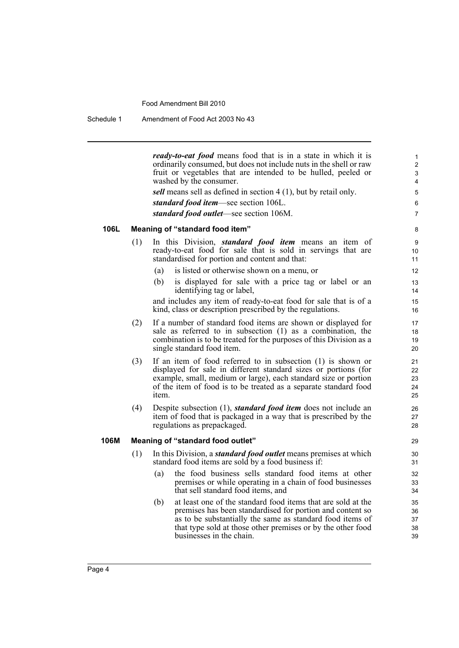Schedule 1 Amendment of Food Act 2003 No 43

*ready-to-eat food* means food that is in a state in which it is ordinarily consumed, but does not include nuts in the shell or raw fruit or vegetables that are intended to be hulled, peeled or washed by the consumer.

*sell* means sell as defined in section 4 (1), but by retail only.

*standard food item*—see section 106L.

*standard food outlet*—see section 106M.

### **106L Meaning of "standard food item"**

- (1) In this Division, *standard food item* means an item of ready-to-eat food for sale that is sold in servings that are standardised for portion and content and that:
	- (a) is listed or otherwise shown on a menu, or
	- (b) is displayed for sale with a price tag or label or an identifying tag or label,

and includes any item of ready-to-eat food for sale that is of a kind, class or description prescribed by the regulations.

- (2) If a number of standard food items are shown or displayed for sale as referred to in subsection (1) as a combination, the combination is to be treated for the purposes of this Division as a single standard food item.
- (3) If an item of food referred to in subsection (1) is shown or displayed for sale in different standard sizes or portions (for example, small, medium or large), each standard size or portion of the item of food is to be treated as a separate standard food item.
- (4) Despite subsection (1), *standard food item* does not include an item of food that is packaged in a way that is prescribed by the regulations as prepackaged.

#### **106M Meaning of "standard food outlet"**

- (1) In this Division, a *standard food outlet* means premises at which standard food items are sold by a food business if:
	- (a) the food business sells standard food items at other premises or while operating in a chain of food businesses that sell standard food items, and
	- (b) at least one of the standard food items that are sold at the premises has been standardised for portion and content so as to be substantially the same as standard food items of that type sold at those other premises or by the other food businesses in the chain.

28 29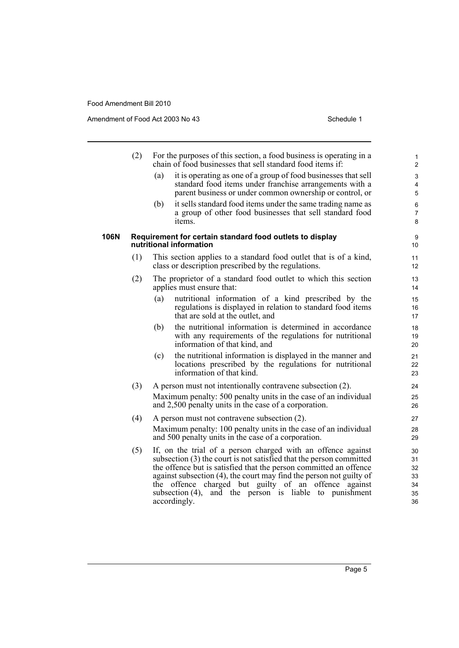Amendment of Food Act 2003 No 43 Schedule 1

|      | (2) |     | For the purposes of this section, a food business is operating in a<br>chain of food businesses that sell standard food items if:                                                                                                                                                                                                                                                                                       | $\mathbf{1}$<br>2                      |
|------|-----|-----|-------------------------------------------------------------------------------------------------------------------------------------------------------------------------------------------------------------------------------------------------------------------------------------------------------------------------------------------------------------------------------------------------------------------------|----------------------------------------|
|      |     | (a) | it is operating as one of a group of food businesses that sell<br>standard food items under franchise arrangements with a<br>parent business or under common ownership or control, or                                                                                                                                                                                                                                   | 3<br>4<br>5                            |
|      |     | (b) | it sells standard food items under the same trading name as<br>a group of other food businesses that sell standard food<br>items.                                                                                                                                                                                                                                                                                       | 6<br>$\overline{7}$<br>8               |
| 106N |     |     | Requirement for certain standard food outlets to display<br>nutritional information                                                                                                                                                                                                                                                                                                                                     | 9<br>10                                |
|      | (1) |     | This section applies to a standard food outlet that is of a kind,<br>class or description prescribed by the regulations.                                                                                                                                                                                                                                                                                                | 11<br>12                               |
|      | (2) |     | The proprietor of a standard food outlet to which this section<br>applies must ensure that:                                                                                                                                                                                                                                                                                                                             | 13<br>14                               |
|      |     | (a) | nutritional information of a kind prescribed by the<br>regulations is displayed in relation to standard food items<br>that are sold at the outlet, and                                                                                                                                                                                                                                                                  | 15<br>16<br>17                         |
|      |     | (b) | the nutritional information is determined in accordance<br>with any requirements of the regulations for nutritional<br>information of that kind, and                                                                                                                                                                                                                                                                    | 18<br>19<br>20                         |
|      |     | (c) | the nutritional information is displayed in the manner and<br>locations prescribed by the regulations for nutritional<br>information of that kind.                                                                                                                                                                                                                                                                      | 21<br>22<br>23                         |
|      | (3) |     | A person must not intentionally contravene subsection (2).<br>Maximum penalty: 500 penalty units in the case of an individual<br>and 2,500 penalty units in the case of a corporation.                                                                                                                                                                                                                                  | 24<br>25<br>26                         |
|      | (4) |     | A person must not contravene subsection (2).<br>Maximum penalty: 100 penalty units in the case of an individual<br>and 500 penalty units in the case of a corporation.                                                                                                                                                                                                                                                  | 27<br>28<br>29                         |
|      | (5) |     | If, on the trial of a person charged with an offence against<br>subsection (3) the court is not satisfied that the person committed<br>the offence but is satisfied that the person committed an offence<br>against subsection (4), the court may find the person not guilty of<br>the offence charged but guilty of an offence against<br>and the person is liable to punishment<br>subsection $(4)$ ,<br>accordingly. | 30<br>31<br>32<br>33<br>34<br>35<br>36 |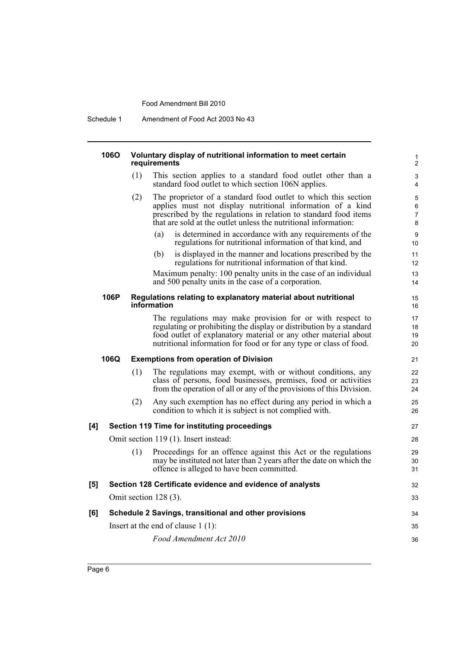Schedule 1 Amendment of Food Act 2003 No 43

#### **106O Voluntary display of nutritional information to meet certain requirements**

- (1) This section applies to a standard food outlet other than a standard food outlet to which section 106N applies.
- (2) The proprietor of a standard food outlet to which this section applies must not display nutritional information of a kind prescribed by the regulations in relation to standard food items that are sold at the outlet unless the nutritional information:
	- (a) is determined in accordance with any requirements of the regulations for nutritional information of that kind, and

(b) is displayed in the manner and locations prescribed by the regulations for nutritional information of that kind.

Maximum penalty: 100 penalty units in the case of an individual and 500 penalty units in the case of a corporation.

#### **106P Regulations relating to explanatory material about nutritional information**

The regulations may make provision for or with respect to regulating or prohibiting the display or distribution by a standard food outlet of explanatory material or any other material about nutritional information for food or for any type or class of food.

#### **106Q Exemptions from operation of Division**

- (1) The regulations may exempt, with or without conditions, any class of persons, food businesses, premises, food or activities from the operation of all or any of the provisions of this Division.
- (2) Any such exemption has no effect during any period in which a condition to which it is subject is not complied with.

#### **[4] Section 119 Time for instituting proceedings**

Omit section 119 (1). Insert instead:

|     | Proceedings for an offence against this Act or the regulations<br>(1)<br>may be instituted not later than 2 years after the date on which the<br>offence is alleged to have been committed. | 29<br>30<br>31 |
|-----|---------------------------------------------------------------------------------------------------------------------------------------------------------------------------------------------|----------------|
| [5] | Section 128 Certificate evidence and evidence of analysts                                                                                                                                   | 32             |
|     | Omit section $128(3)$ .                                                                                                                                                                     | 33             |
| [6] | Schedule 2 Savings, transitional and other provisions                                                                                                                                       | 34             |
|     | Insert at the end of clause $1(1)$ :                                                                                                                                                        | 35             |
|     | Food Amendment Act 2010                                                                                                                                                                     | 36             |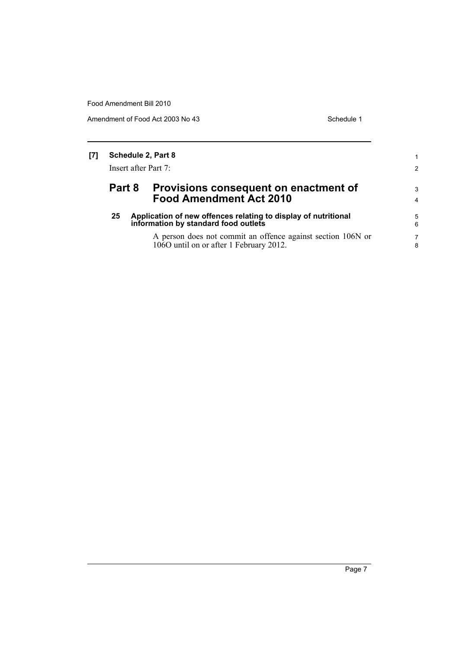Amendment of Food Act 2003 No 43 Schedule 1

| [7] | Schedule 2, Part 8   |  |                                                                                                        |        |
|-----|----------------------|--|--------------------------------------------------------------------------------------------------------|--------|
|     | Insert after Part 7: |  |                                                                                                        | 2      |
|     | Part 8               |  | Provisions consequent on enactment of<br><b>Food Amendment Act 2010</b>                                | 3<br>4 |
|     | 25                   |  | Application of new offences relating to display of nutritional<br>information by standard food outlets | 5<br>6 |
|     |                      |  | A person does not commit an offence against section 106N or<br>1060 until on or after 1 February 2012. | 7<br>8 |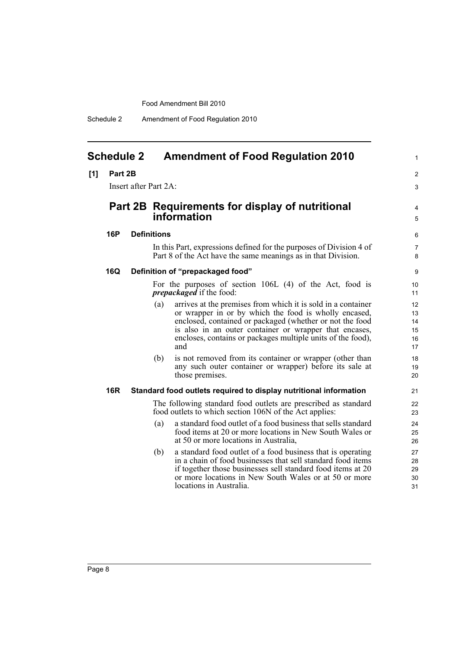Schedule 2 Amendment of Food Regulation 2010

### <span id="page-13-0"></span>**Schedule 2 Amendment of Food Regulation 2010**

#### **[1] Part 2B**

Insert after Part 2A:

## **Part 2B Requirements for display of nutritional information**

#### **16P Definitions**

In this Part, expressions defined for the purposes of Division 4 of Part 8 of the Act have the same meanings as in that Division.

#### **16Q Definition of "prepackaged food"**

For the purposes of section 106L (4) of the Act, food is *prepackaged* if the food:

- (a) arrives at the premises from which it is sold in a container or wrapper in or by which the food is wholly encased, enclosed, contained or packaged (whether or not the food is also in an outer container or wrapper that encases, encloses, contains or packages multiple units of the food), and
- (b) is not removed from its container or wrapper (other than any such outer container or wrapper) before its sale at those premises.

#### **16R Standard food outlets required to display nutritional information**

The following standard food outlets are prescribed as standard food outlets to which section 106N of the Act applies:

- (a) a standard food outlet of a food business that sells standard food items at 20 or more locations in New South Wales or at 50 or more locations in Australia,
- (b) a standard food outlet of a food business that is operating in a chain of food businesses that sell standard food items if together those businesses sell standard food items at 20 or more locations in New South Wales or at 50 or more locations in Australia.

4 5

> 6 7 8

1

 $\mathfrak{p}$ 3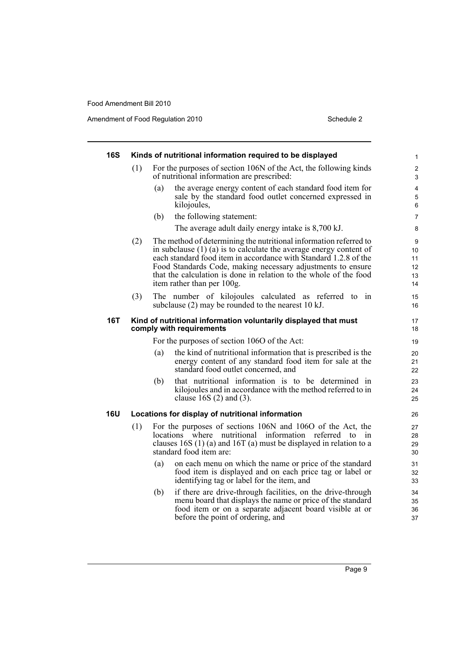Amendment of Food Regulation 2010 Schedule 2

| <b>16S</b> |     |     | Kinds of nutritional information required to be displayed                                                                                                                                                                                                                                                                                         | $\mathbf{1}$              |
|------------|-----|-----|---------------------------------------------------------------------------------------------------------------------------------------------------------------------------------------------------------------------------------------------------------------------------------------------------------------------------------------------------|---------------------------|
|            | (1) |     | For the purposes of section 106N of the Act, the following kinds<br>of nutritional information are prescribed:                                                                                                                                                                                                                                    | 2<br>3                    |
|            |     | (a) | the average energy content of each standard food item for<br>sale by the standard food outlet concerned expressed in<br>kilojoules,                                                                                                                                                                                                               | 4<br>5<br>6               |
|            |     | (b) | the following statement:                                                                                                                                                                                                                                                                                                                          | $\overline{7}$            |
|            |     |     | The average adult daily energy intake is 8,700 kJ.                                                                                                                                                                                                                                                                                                | 8                         |
|            | (2) |     | The method of determining the nutritional information referred to<br>in subclause $(1)$ (a) is to calculate the average energy content of<br>each standard food item in accordance with Standard 1.2.8 of the<br>Food Standards Code, making necessary adjustments to ensure<br>that the calculation is done in relation to the whole of the food | 9<br>10<br>11<br>12<br>13 |
|            |     |     | item rather than per 100g.                                                                                                                                                                                                                                                                                                                        | 14                        |
|            | (3) |     | The number of kilojoules calculated as referred to in<br>subclause (2) may be rounded to the nearest 10 kJ.                                                                                                                                                                                                                                       | 15<br>16                  |
| <b>16T</b> |     |     | Kind of nutritional information voluntarily displayed that must<br>comply with requirements                                                                                                                                                                                                                                                       | 17<br>18                  |
|            |     |     | For the purposes of section 1060 of the Act:                                                                                                                                                                                                                                                                                                      | 19                        |
|            |     | (a) | the kind of nutritional information that is prescribed is the<br>energy content of any standard food item for sale at the<br>standard food outlet concerned, and                                                                                                                                                                                  | 20<br>21<br>22            |
|            |     | (b) | that nutritional information is to be determined in<br>kilojoules and in accordance with the method referred to in<br>clause 16S $(2)$ and $(3)$ .                                                                                                                                                                                                | 23<br>24<br>25            |
| <b>16U</b> |     |     | Locations for display of nutritional information                                                                                                                                                                                                                                                                                                  | 26                        |
|            | (1) |     | For the purposes of sections 106N and 106O of the Act, the<br>locations where nutritional information referred to in<br>clauses 16S $(1)$ (a) and 16T (a) must be displayed in relation to a<br>standard food item are:                                                                                                                           | 27<br>28<br>29<br>30      |
|            |     | (a) | on each menu on which the name or price of the standard<br>food item is displayed and on each price tag or label or<br>identifying tag or label for the item, and                                                                                                                                                                                 | 31<br>32<br>33            |
|            |     | (b) | if there are drive-through facilities, on the drive-through<br>menu board that displays the name or price of the standard<br>food item or on a separate adjacent board visible at or<br>before the point of ordering, and                                                                                                                         | 34<br>35<br>36<br>37      |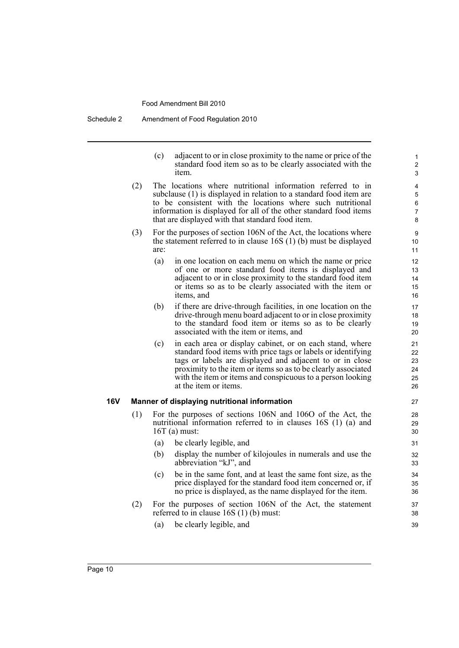Schedule 2 Amendment of Food Regulation 2010

(c) adjacent to or in close proximity to the name or price of the standard food item so as to be clearly associated with the item.

- (2) The locations where nutritional information referred to in subclause (1) is displayed in relation to a standard food item are to be consistent with the locations where such nutritional information is displayed for all of the other standard food items that are displayed with that standard food item.
- (3) For the purposes of section 106N of the Act, the locations where the statement referred to in clause 16S (1) (b) must be displayed are:
	- (a) in one location on each menu on which the name or price of one or more standard food items is displayed and adjacent to or in close proximity to the standard food item or items so as to be clearly associated with the item or items, and
	- (b) if there are drive-through facilities, in one location on the drive-through menu board adjacent to or in close proximity to the standard food item or items so as to be clearly associated with the item or items, and
	- (c) in each area or display cabinet, or on each stand, where standard food items with price tags or labels or identifying tags or labels are displayed and adjacent to or in close proximity to the item or items so as to be clearly associated with the item or items and conspicuous to a person looking at the item or items.

#### **16V Manner of displaying nutritional information**

- (1) For the purposes of sections 106N and 106O of the Act, the nutritional information referred to in clauses 16S (1) (a) and 16T (a) must:
	- (a) be clearly legible, and
	- (b) display the number of kilojoules in numerals and use the abbreviation "kJ", and
	- (c) be in the same font, and at least the same font size, as the price displayed for the standard food item concerned or, if no price is displayed, as the name displayed for the item.
- (2) For the purposes of section 106N of the Act, the statement referred to in clause 16S (1) (b) must:
	- (a) be clearly legible, and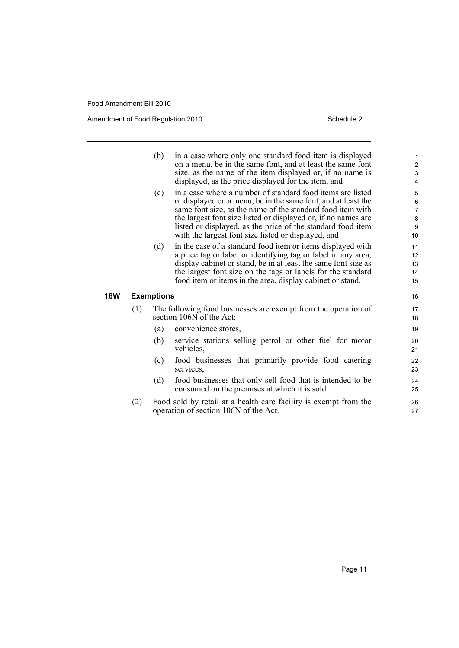**16W** 

Amendment of Food Regulation 2010 Schedule 2

|     | (b)        | in a case where only one standard food item is displayed<br>on a menu, be in the same font, and at least the same font<br>size, as the name of the item displayed or, if no name is | $\mathbf{1}$<br>$\overline{c}$<br>3 |
|-----|------------|-------------------------------------------------------------------------------------------------------------------------------------------------------------------------------------|-------------------------------------|
|     |            | displayed, as the price displayed for the item, and                                                                                                                                 | 4                                   |
|     | (c)        | in a case where a number of standard food items are listed<br>or displayed on a menu, be in the same font, and at least the                                                         | 5<br>6                              |
|     |            | same font size, as the name of the standard food item with                                                                                                                          | 7                                   |
|     |            | the largest font size listed or displayed or, if no names are                                                                                                                       | $\bf 8$                             |
|     |            | listed or displayed, as the price of the standard food item                                                                                                                         | $\boldsymbol{9}$                    |
|     |            | with the largest font size listed or displayed, and                                                                                                                                 | 10                                  |
|     | (d)        | in the case of a standard food item or items displayed with                                                                                                                         | 11                                  |
|     |            | a price tag or label or identifying tag or label in any area,                                                                                                                       | 12                                  |
|     |            | display cabinet or stand, be in at least the same font size as                                                                                                                      | 13                                  |
|     |            | the largest font size on the tags or labels for the standard                                                                                                                        | 14                                  |
|     |            | food item or items in the area, display cabinet or stand.                                                                                                                           | 15                                  |
|     | Exemptions |                                                                                                                                                                                     | 16                                  |
| (1) |            | The following food businesses are exempt from the operation of<br>section 106N of the Act:                                                                                          | 17<br>18                            |
|     | (a)        | convenience stores,                                                                                                                                                                 | 19                                  |
|     | (b)        | service stations selling petrol or other fuel for motor<br>vehicles,                                                                                                                | 20<br>21                            |
|     | (c)        | food businesses that primarily provide food catering<br>services.                                                                                                                   | 22<br>23                            |
|     | (d)        | food businesses that only sell food that is intended to be<br>consumed on the premises at which it is sold.                                                                         | 24<br>25                            |
| (2) |            | Food sold by retail at a health care facility is exempt from the<br>operation of section 106N of the Act.                                                                           | 26<br>27                            |